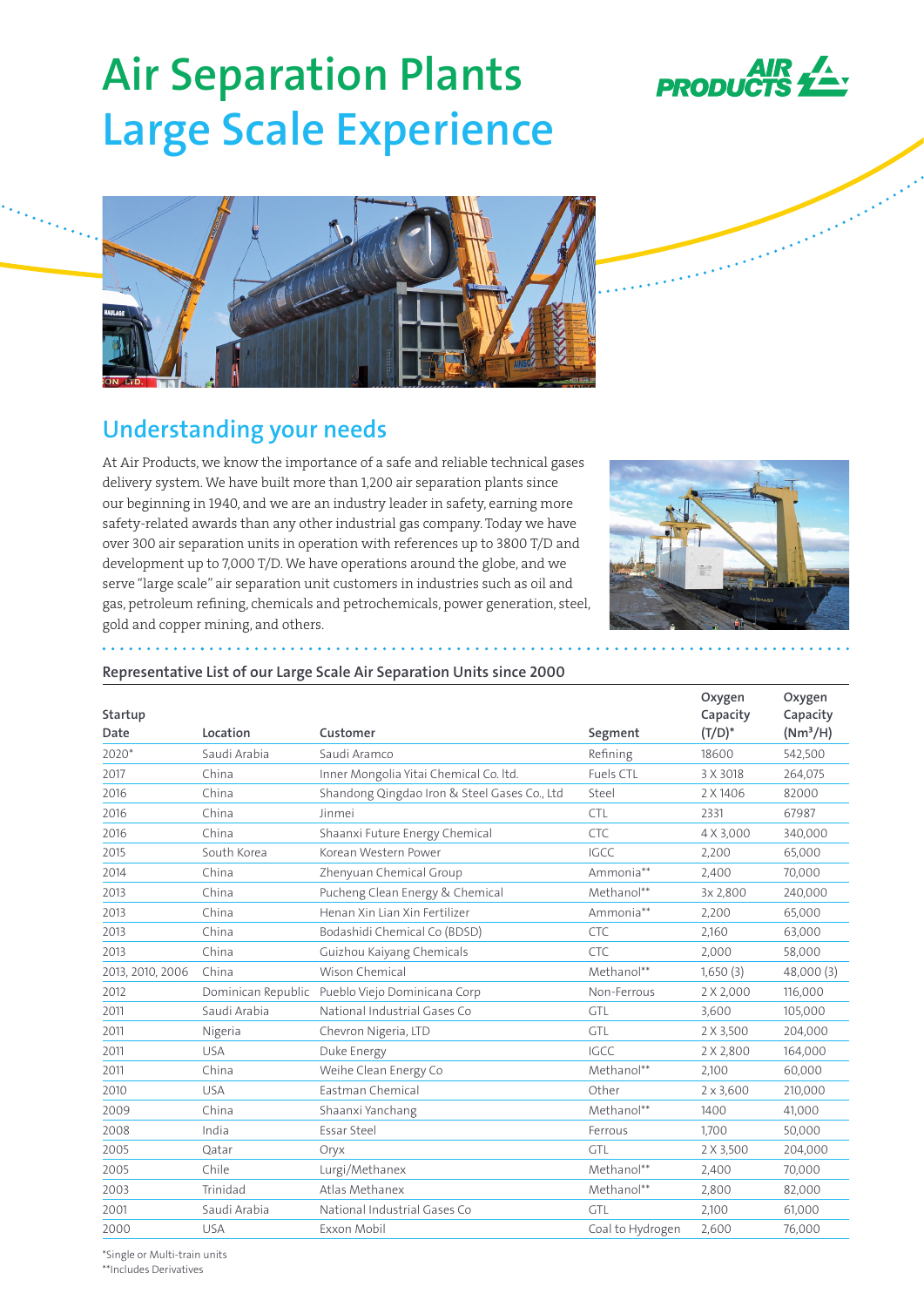

**Barriot** 

# **Air Separation Plants Large Scale Experience**



# **Understanding your needs**

At Air Products, we know the importance of a safe and reliable technical gases delivery system. We have built more than 1,200 air separation plants since our beginning in 1940, and we are an industry leader in safety, earning more safety-related awards than any other industrial gas company. Today we have over 300 air separation units in operation with references up to 3800 T/D and development up to 7,000 T/D. We have operations around the globe, and we serve "large scale" air separation unit customers in industries such as oil and gas, petroleum refining, chemicals and petrochemicals, power generation, steel, gold and copper mining, and others.



## **Representative List of our Large Scale Air Separation Units since 2000**

| Startup<br>Date  | Location     | Customer                                        | Segment          | Oxygen<br>Capacity<br>$(T/D)^*$ | Oxygen<br>Capacity<br>(Nm <sup>3</sup> /H) |
|------------------|--------------|-------------------------------------------------|------------------|---------------------------------|--------------------------------------------|
| 2020*            | Saudi Arabia | Saudi Aramco                                    | Refining         | 18600                           | 542,500                                    |
| 2017             | China        | Inner Mongolia Yitai Chemical Co. Itd.          | <b>Fuels CTL</b> | 3 X 3018                        | 264,075                                    |
| 2016             | China        | Shandong Qingdao Iron & Steel Gases Co., Ltd    | Steel            | 2 X 1406                        | 82000                                      |
| 2016             | China        | Jinmei                                          | <b>CTL</b>       | 2331                            | 67987                                      |
| 2016             | China        | Shaanxi Future Energy Chemical                  | CTC              | 4 X 3,000                       | 340,000                                    |
| 2015             | South Korea  | Korean Western Power                            | <b>IGCC</b>      | 2.200                           | 65,000                                     |
| 2014             | China        | Zhenyuan Chemical Group                         | Ammonia**        | 2,400                           | 70,000                                     |
| 2013             | China        | Pucheng Clean Energy & Chemical                 | Methanol**       | 3x 2,800                        | 240,000                                    |
| 2013             | China        | Henan Xin Lian Xin Fertilizer                   | Ammonia**        | 2,200                           | 65,000                                     |
| 2013             | China        | Bodashidi Chemical Co (BDSD)                    | <b>CTC</b>       | 2.160                           | 63,000                                     |
| 2013             | China        | Guizhou Kaiyang Chemicals                       | <b>CTC</b>       | 2,000                           | 58,000                                     |
| 2013, 2010, 2006 | China        | <b>Wison Chemical</b>                           | Methanol**       | 1,650(3)                        | 48,000 (3)                                 |
| 2012             |              | Dominican Republic Pueblo Viejo Dominicana Corp | Non-Ferrous      | 2 X 2,000                       | 116,000                                    |
| 2011             | Saudi Arabia | National Industrial Gases Co                    | GTL              | 3,600                           | 105,000                                    |
| 2011             | Nigeria      | Chevron Nigeria, LTD                            | GTL              | 2 X 3,500                       | 204,000                                    |
| 2011             | <b>USA</b>   | Duke Energy                                     | <b>IGCC</b>      | 2 X 2,800                       | 164,000                                    |
| 2011             | China        | Weihe Clean Energy Co                           | Methanol**       | 2,100                           | 60,000                                     |
| 2010             | <b>USA</b>   | Eastman Chemical                                | Other            | $2 \times 3,600$                | 210,000                                    |
| 2009             | China        | Shaanxi Yanchang                                | Methanol**       | 1400                            | 41,000                                     |
| 2008             | India        | Essar Steel                                     | Ferrous          | 1,700                           | 50,000                                     |
| 2005             | Oatar        | Oryx                                            | GTL              | 2 X 3,500                       | 204,000                                    |
| 2005             | Chile        | Lurgi/Methanex                                  | Methanol**       | 2,400                           | 70,000                                     |
| 2003             | Trinidad     | Atlas Methanex                                  | Methanol**       | 2,800                           | 82,000                                     |
| 2001             | Saudi Arabia | National Industrial Gases Co                    | GTL              | 2,100                           | 61,000                                     |
| 2000             | <b>USA</b>   | Exxon Mobil                                     | Coal to Hydrogen | 2,600                           | 76,000                                     |

\*Single or Multi-train units

\*\*Includes Derivatives